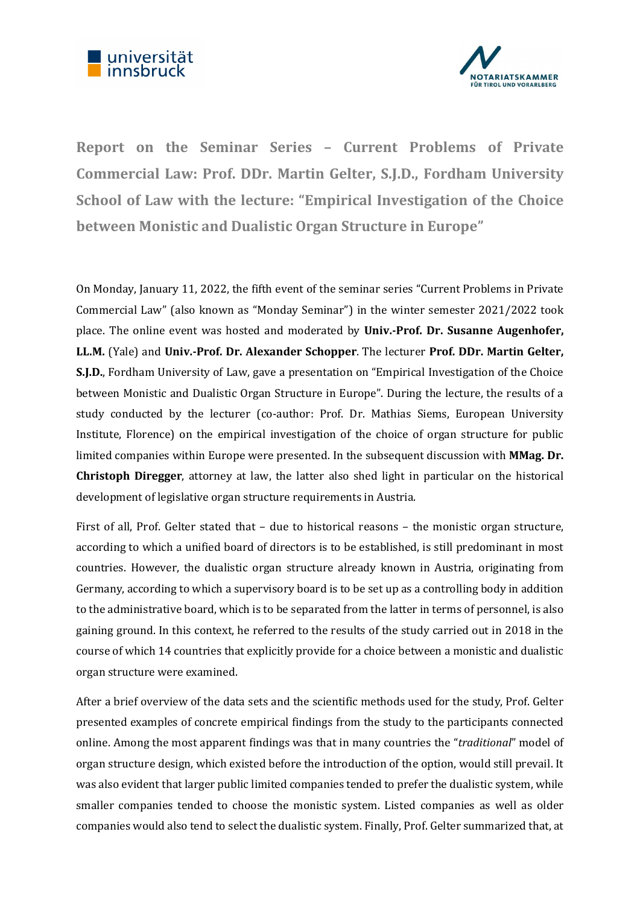



Report on the Seminar Series – Current Problems of Private Commercial Law: Prof. DDr. Martin Gelter, S.J.D., Fordham University School of Law with the lecture: "Empirical Investigation of the Choice between Monistic and Dualistic Organ Structure in Europe"

On Monday, January 11, 2022, the fifth event of the seminar series "Current Problems in Private Commercial Law" (also known as "Monday Seminar") in the winter semester 2021/2022 took place. The online event was hosted and moderated by Univ.-Prof. Dr. Susanne Augenhofer, LL.M. (Yale) and Univ.-Prof. Dr. Alexander Schopper. The lecturer Prof. DDr. Martin Gelter, S.J.D., Fordham University of Law, gave a presentation on "Empirical Investigation of the Choice between Monistic and Dualistic Organ Structure in Europe". During the lecture, the results of a study conducted by the lecturer (co-author: Prof. Dr. Mathias Siems, European University Institute, Florence) on the empirical investigation of the choice of organ structure for public limited companies within Europe were presented. In the subsequent discussion with MMag. Dr. Christoph Diregger, attorney at law, the latter also shed light in particular on the historical development of legislative organ structure requirements in Austria.

First of all, Prof. Gelter stated that – due to historical reasons – the monistic organ structure, according to which a unified board of directors is to be established, is still predominant in most countries. However, the dualistic organ structure already known in Austria, originating from Germany, according to which a supervisory board is to be set up as a controlling body in addition to the administrative board, which is to be separated from the latter in terms of personnel, is also gaining ground. In this context, he referred to the results of the study carried out in 2018 in the course of which 14 countries that explicitly provide for a choice between a monistic and dualistic organ structure were examined.

After a brief overview of the data sets and the scientific methods used for the study, Prof. Gelter presented examples of concrete empirical findings from the study to the participants connected online. Among the most apparent findings was that in many countries the "*traditional*" model of organ structure design, which existed before the introduction of the option, would still prevail. It was also evident that larger public limited companies tended to prefer the dualistic system, while smaller companies tended to choose the monistic system. Listed companies as well as older companies would also tend to select the dualistic system. Finally, Prof. Gelter summarized that, at